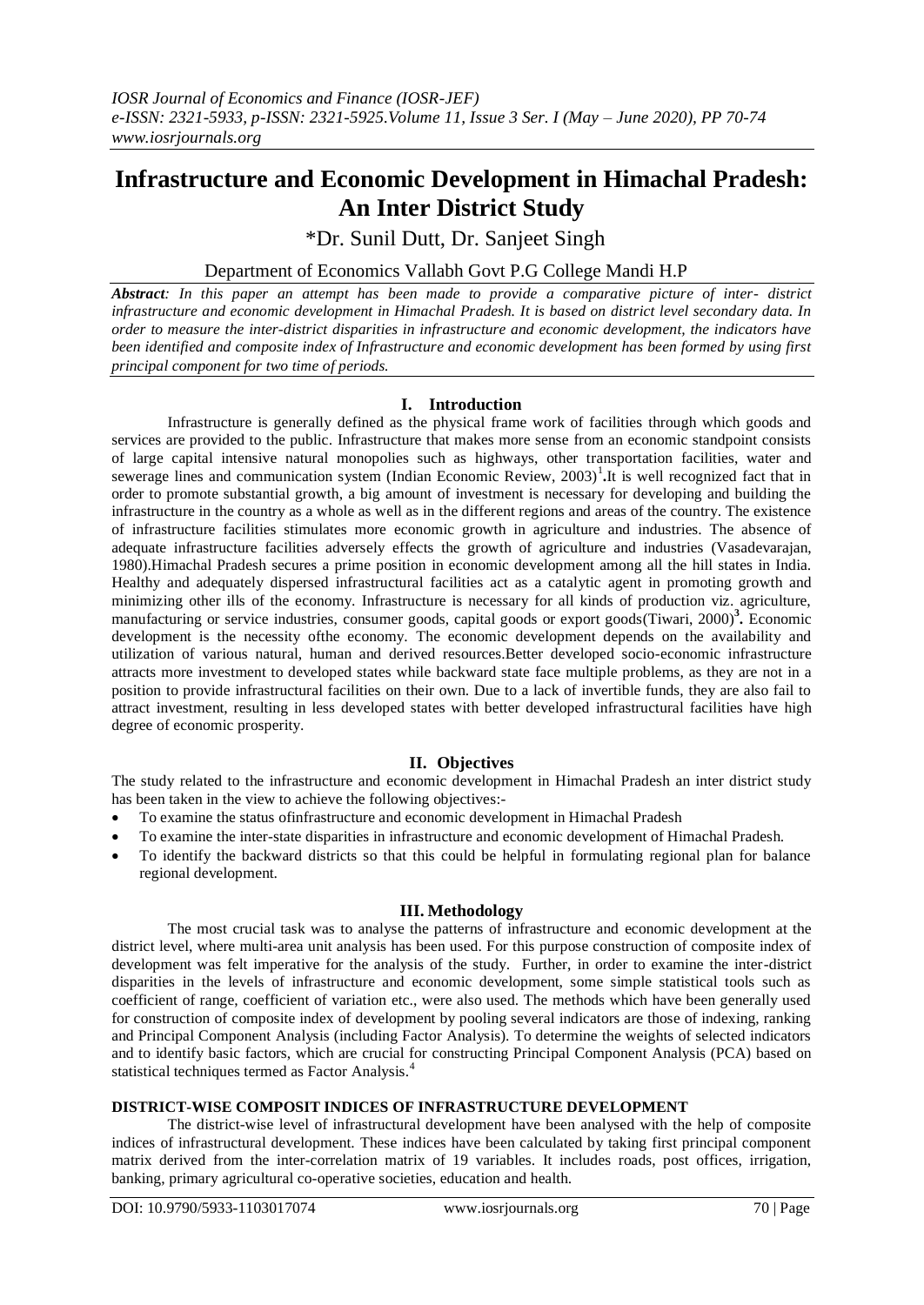# **Infrastructure and Economic Development in Himachal Pradesh: An Inter District Study**

\*Dr. Sunil Dutt, Dr. Sanjeet Singh

Department of Economics Vallabh Govt P.G College Mandi H.P

*Abstract: In this paper an attempt has been made to provide a comparative picture of inter- district infrastructure and economic development in Himachal Pradesh. It is based on district level secondary data. In order to measure the inter-district disparities in infrastructure and economic development, the indicators have been identified and composite index of Infrastructure and economic development has been formed by using first principal component for two time of periods.* 

### **I. Introduction**

Infrastructure is generally defined as the physical frame work of facilities through which goods and services are provided to the public. Infrastructure that makes more sense from an economic standpoint consists of large capital intensive natural monopolies such as highways, other transportation facilities, water and sewerage lines and communication system (Indian Economic Review, 2003)<sup>1</sup>. It is well recognized fact that in order to promote substantial growth, a big amount of investment is necessary for developing and building the infrastructure in the country as a whole as well as in the different regions and areas of the country. The existence of infrastructure facilities stimulates more economic growth in agriculture and industries. The absence of adequate infrastructure facilities adversely effects the growth of agriculture and industries (Vasadevarajan, 1980).Himachal Pradesh secures a prime position in economic development among all the hill states in India. Healthy and adequately dispersed infrastructural facilities act as a catalytic agent in promoting growth and minimizing other ills of the economy. Infrastructure is necessary for all kinds of production viz. agriculture, manufacturing or service industries, consumer goods, capital goods or export goods(Tiwari, 2000)**<sup>3</sup> .** Economic development is the necessity ofthe economy. The economic development depends on the availability and utilization of various natural, human and derived resources.Better developed socio-economic infrastructure attracts more investment to developed states while backward state face multiple problems, as they are not in a position to provide infrastructural facilities on their own. Due to a lack of invertible funds, they are also fail to attract investment, resulting in less developed states with better developed infrastructural facilities have high degree of economic prosperity.

## **II. Objectives**

The study related to the infrastructure and economic development in Himachal Pradesh an inter district study has been taken in the view to achieve the following objectives:-

- To examine the status ofinfrastructure and economic development in Himachal Pradesh
- To examine the inter-state disparities in infrastructure and economic development of Himachal Pradesh.
- To identify the backward districts so that this could be helpful in formulating regional plan for balance regional development.

#### **III. Methodology**

The most crucial task was to analyse the patterns of infrastructure and economic development at the district level, where multi-area unit analysis has been used. For this purpose construction of composite index of development was felt imperative for the analysis of the study. Further, in order to examine the inter-district disparities in the levels of infrastructure and economic development, some simple statistical tools such as coefficient of range, coefficient of variation etc., were also used. The methods which have been generally used for construction of composite index of development by pooling several indicators are those of indexing, ranking and Principal Component Analysis (including Factor Analysis). To determine the weights of selected indicators and to identify basic factors, which are crucial for constructing Principal Component Analysis (PCA) based on statistical techniques termed as Factor Analysis.<sup>4</sup>

#### **DISTRICT-WISE COMPOSIT INDICES OF INFRASTRUCTURE DEVELOPMENT**

The district-wise level of infrastructural development have been analysed with the help of composite indices of infrastructural development. These indices have been calculated by taking first principal component matrix derived from the inter-correlation matrix of 19 variables. It includes roads, post offices, irrigation, banking, primary agricultural co-operative societies, education and health.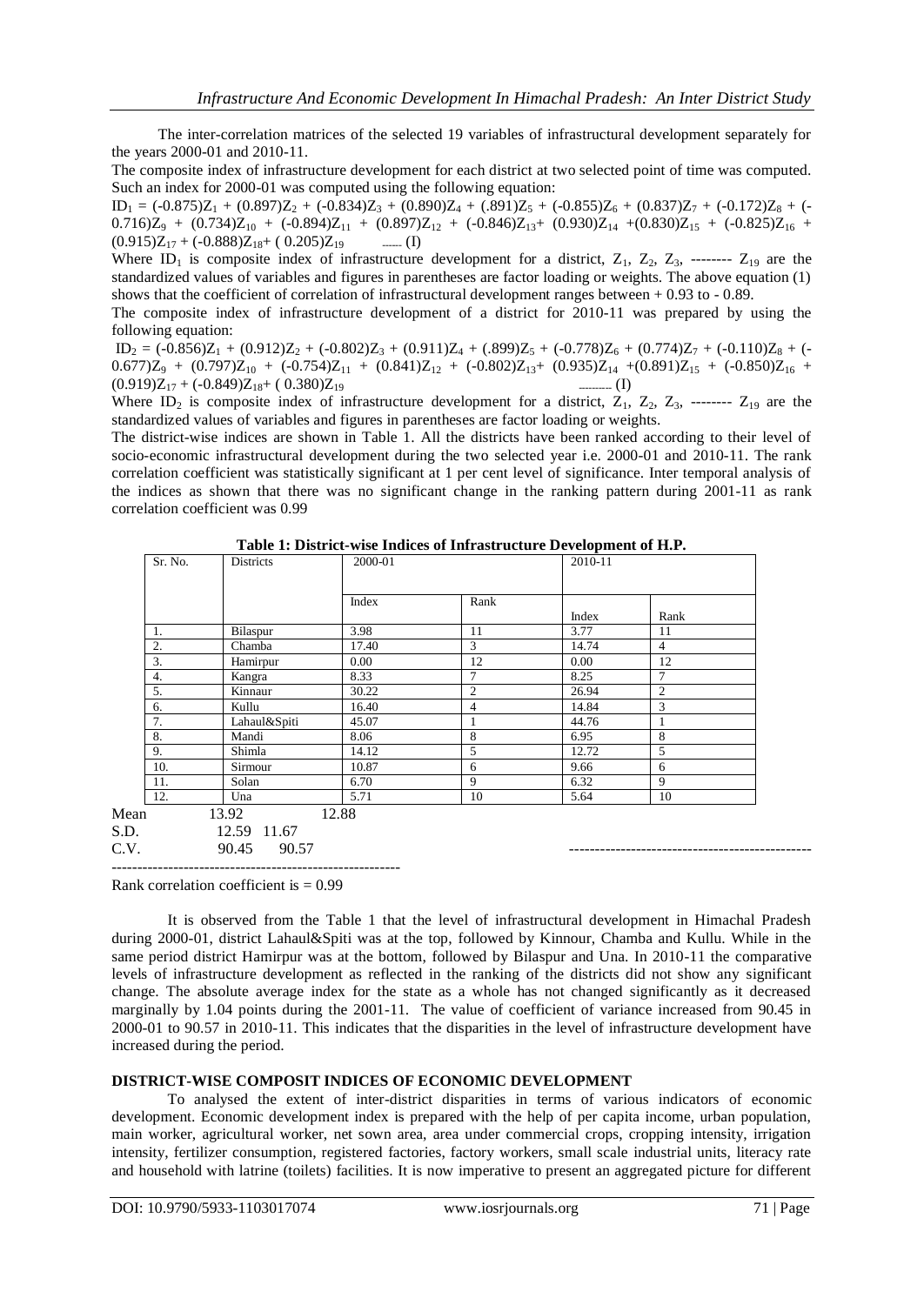The inter-correlation matrices of the selected 19 variables of infrastructural development separately for the years 2000-01 and 2010-11.

The composite index of infrastructure development for each district at two selected point of time was computed. Such an index for 2000-01 was computed using the following equation:

 $ID_1 = (-0.875)Z_1 + (0.897)Z_2 + (-0.834)Z_3 + (0.890)Z_4 + (.891)Z_5 + (-0.855)Z_6 + (0.837)Z_7 + (-0.172)Z_8 + (-0.837)Z_9$  $0.716$ )Z<sub>9</sub> +  $(0.734)Z_{10}$  +  $(-0.894)Z_{11}$  +  $(0.897)Z_{12}$  +  $(-0.846)Z_{13}$ +  $(0.930)Z_{14}$  + $(0.830)Z_{15}$  +  $(-0.825)Z_{16}$  +  $(0.915)Z_{17} + (-0.888)Z_{18} + (0.205)Z_{19}$  ------ (I)

Where ID<sub>1</sub> is composite index of infrastructure development for a district,  $Z_1$ ,  $Z_2$ ,  $Z_3$ , --------  $Z_{19}$  are the standardized values of variables and figures in parentheses are factor loading or weights. The above equation (1) shows that the coefficient of correlation of infrastructural development ranges between + 0.93 to - 0.89.

The composite index of infrastructure development of a district for 2010-11 was prepared by using the following equation:

 $ID_2 = (-0.856)Z_1 + (0.912)Z_2 + (-0.802)Z_3 + (0.911)Z_4 + (.899)Z_5 + (-0.778)Z_6 + (0.774)Z_7 + (-0.110)Z_8 + (-0.110)Z_8$  $0.677$ ) $Z_9$  +  $(0.797)Z_{10}$  +  $(-0.754)Z_{11}$  +  $(0.841)Z_{12}$  +  $(-0.802)Z_{13}$ +  $(0.935)Z_{14}$  + $(0.891)Z_{15}$  +  $(-0.850)Z_{16}$  +  $(0.919)Z_{17} + (-0.849)Z_{18} + (0.380)Z_{19}$  --------- (I)

Where ID<sub>2</sub> is composite index of infrastructure development for a district,  $Z_1$ ,  $Z_2$ ,  $Z_3$ , --------  $Z_{19}$  are the standardized values of variables and figures in parentheses are factor loading or weights.

The district-wise indices are shown in Table 1. All the districts have been ranked according to their level of socio-economic infrastructural development during the two selected year i.e. 2000-01 and 2010-11. The rank correlation coefficient was statistically significant at 1 per cent level of significance. Inter temporal analysis of the indices as shown that there was no significant change in the ranking pattern during 2001-11 as rank correlation coefficient was 0.99

| Sr. No. | Districts    | 2000-01 |                | 2010-11       |                |
|---------|--------------|---------|----------------|---------------|----------------|
|         |              | Index   | Rank           |               |                |
| 1.      | Bilaspur     | 3.98    | 11             | Index<br>3.77 | Rank<br>11     |
| 2.      | Chamba       | 17.40   | 3              | 14.74         | $\overline{4}$ |
| 3.      | Hamirpur     | 0.00    | 12             | 0.00          | 12             |
| 4.      | Kangra       | 8.33    | $\tau$         | 8.25          | $\mathcal{I}$  |
| 5.      | Kinnaur      | 30.22   | $\mathfrak{2}$ | 26.94         | 2              |
| 6.      | Kullu        | 16.40   | $\overline{4}$ | 14.84         | 3              |
| 7.      | Lahaul&Spiti | 45.07   |                | 44.76         |                |
| 8.      | Mandi        | 8.06    | 8              | 6.95          | 8              |
| 9.      | Shimla       | 14.12   | 5              | 12.72         | 5              |
| 10.     | Sirmour      | 10.87   | 6              | 9.66          | 6              |
| 11.     | Solan        | 6.70    | 9              | 6.32          | 9              |
| 12.     | Una          | 5.71    | 10             | 5.64          | 10             |
|         | 13.92        | 12.88   |                |               |                |
|         | 12.59 11.67  |         |                |               |                |

|  |  | Table 1: District-wise Indices of Infrastructure Development of H.P. |  |  |
|--|--|----------------------------------------------------------------------|--|--|
|  |  |                                                                      |  |  |

-------------------------------------------------------- Rank correlation coefficient is  $= 0.99$ 

It is observed from the Table 1 that the level of infrastructural development in Himachal Pradesh during 2000-01, district Lahaul&Spiti was at the top, followed by Kinnour, Chamba and Kullu. While in the same period district Hamirpur was at the bottom, followed by Bilaspur and Una. In 2010-11 the comparative levels of infrastructure development as reflected in the ranking of the districts did not show any significant change. The absolute average index for the state as a whole has not changed significantly as it decreased marginally by 1.04 points during the 2001-11. The value of coefficient of variance increased from 90.45 in 2000-01 to 90.57 in 2010-11. This indicates that the disparities in the level of infrastructure development have increased during the period.

C.V. 90.45 90.57 -----------------------------------------------

#### **DISTRICT-WISE COMPOSIT INDICES OF ECONOMIC DEVELOPMENT**

To analysed the extent of inter-district disparities in terms of various indicators of economic development. Economic development index is prepared with the help of per capita income, urban population, main worker, agricultural worker, net sown area, area under commercial crops, cropping intensity, irrigation intensity, fertilizer consumption, registered factories, factory workers, small scale industrial units, literacy rate and household with latrine (toilets) facilities. It is now imperative to present an aggregated picture for different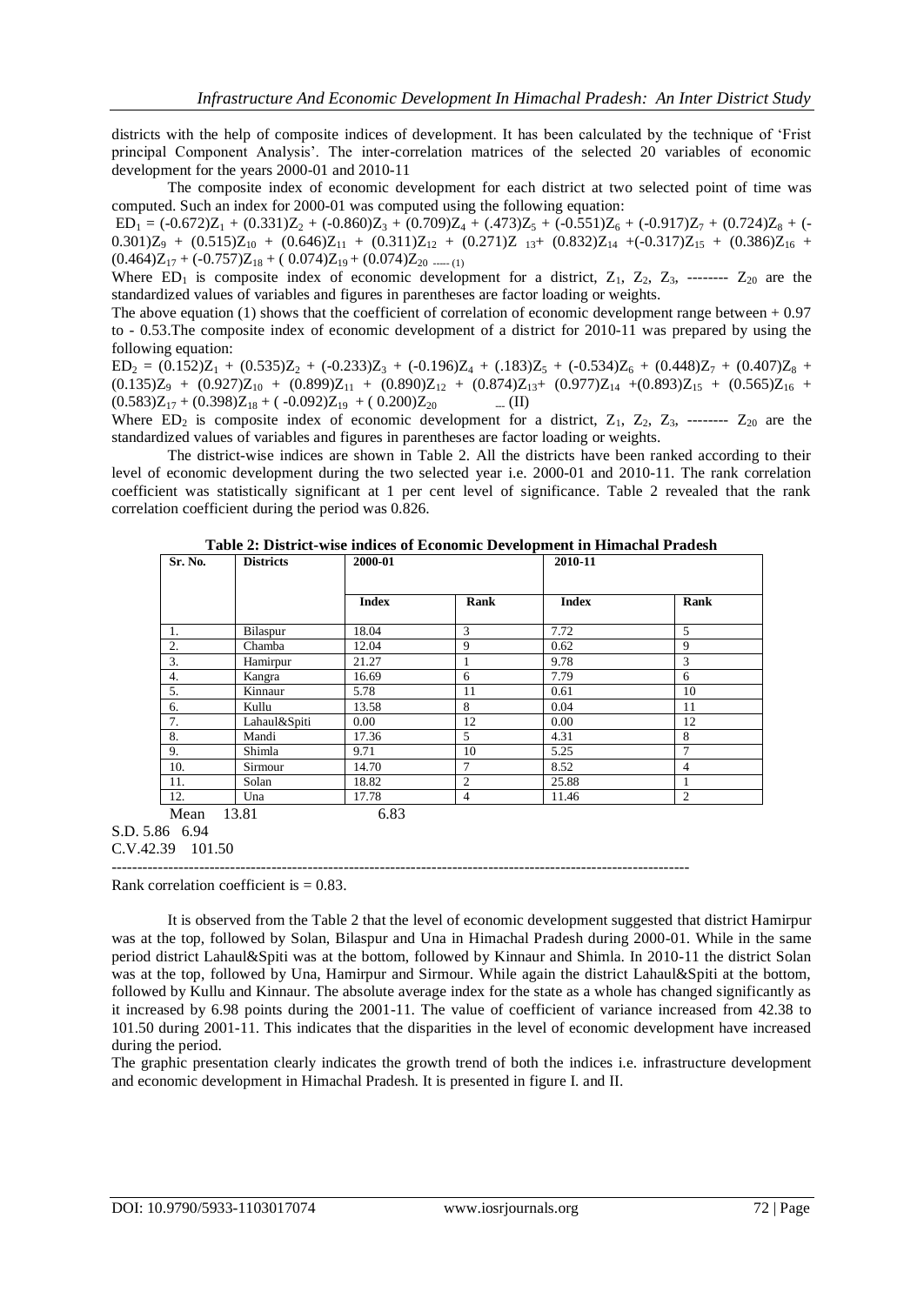districts with the help of composite indices of development. It has been calculated by the technique of "Frist principal Component Analysis". The inter-correlation matrices of the selected 20 variables of economic development for the years 2000-01 and 2010-11

The composite index of economic development for each district at two selected point of time was computed. Such an index for 2000-01 was computed using the following equation:

 $ED_1 = (-0.672)Z_1 + (0.331)Z_2 + (-0.860)Z_3 + (0.709)Z_4 + (.473)Z_5 + (-0.551)Z_6 + (-0.917)Z_7 + (0.724)Z_8 + (-0.917)Z_7 + (-0.917)Z_8$  $0.301)Z_9 + (0.515)Z_{10} + (0.646)Z_{11} + (0.311)Z_{12} + (0.271)Z_{13} + (0.832)Z_{14} + (-0.317)Z_{15} + (0.386)Z_{16} +$  $(0.464)Z_{17} + (-0.757)Z_{18} + (0.074)Z_{19} + (0.074)Z_{20}$  ----- (1)

Where  $ED_1$  is composite index of economic development for a district,  $Z_1$ ,  $Z_2$ ,  $Z_3$ , --------  $Z_{20}$  are the standardized values of variables and figures in parentheses are factor loading or weights.

The above equation (1) shows that the coefficient of correlation of economic development range between  $+ 0.97$ to - 0.53.The composite index of economic development of a district for 2010-11 was prepared by using the following equation:

 $ED_2 = (0.152)Z_1 + (0.535)Z_2 + (-0.233)Z_3 + (-0.196)Z_4 + (0.183)Z_5 + (-0.534)Z_6 + (0.448)Z_7 + (0.407)Z_8 +$  $(0.135)Z_9 + (0.927)Z_{10} + (0.899)Z_{11} + (0.890)Z_{12} + (0.874)Z_{13} + (0.977)Z_{14} + (0.893)Z_{15} + (0.565)Z_{16} +$  $(0.583)Z_{17} + (0.398)Z_{18} + (-0.092)Z_{19} + (0.200)Z_{20}$  --- (II)

Where  $ED_2$  is composite index of economic development for a district,  $Z_1$ ,  $Z_2$ ,  $Z_3$ , --------  $Z_{20}$  are the standardized values of variables and figures in parentheses are factor loading or weights.

The district-wise indices are shown in Table 2. All the districts have been ranked according to their level of economic development during the two selected year i.e. 2000-01 and 2010-11. The rank correlation coefficient was statistically significant at 1 per cent level of significance. Table 2 revealed that the rank correlation coefficient during the period was 0.826.

| Sr. No. | <b>Districts</b> | 2000-01      |                | 2010-11      |                |
|---------|------------------|--------------|----------------|--------------|----------------|
|         |                  | <b>Index</b> | Rank           | <b>Index</b> | Rank           |
| 1.      | Bilaspur         | 18.04        | 3              | 7.72         | $\overline{5}$ |
| 2.      | Chamba           | 12.04        | 9              | 0.62         | 9              |
| 3.      | Hamirpur         | 21.27        |                | 9.78         | 3              |
| 4.      | Kangra           | 16.69        | 6              | 7.79         | 6              |
| 5.      | Kinnaur          | 5.78         | 11             | 0.61         | 10             |
| 6.      | Kullu            | 13.58        | 8              | 0.04         | 11             |
| 7.      | Lahaul&Spiti     | 0.00         | 12             | 0.00         | 12             |
| 8.      | Mandi            | 17.36        | 5              | 4.31         | 8              |
| 9.      | Shimla           | 9.71         | 10             | 5.25         | $\mathcal{I}$  |
| 10.     | Sirmour          | 14.70        | 7              | 8.52         | $\overline{4}$ |
| 11.     | Solan            | 18.82        | $\overline{2}$ | 25.88        |                |
| 12.     | Una              | 17.78        | $\overline{4}$ | 11.46        | 2              |

**Table 2: District-wise indices of Economic Development in Himachal Pradesh**

S.D. 5.86 6.94 C.V.42.39 101.50

----------------------------------------------------------------------------------------------------------------

Rank correlation coefficient is  $= 0.83$ .

It is observed from the Table 2 that the level of economic development suggested that district Hamirpur was at the top, followed by Solan, Bilaspur and Una in Himachal Pradesh during 2000-01. While in the same period district Lahaul&Spiti was at the bottom, followed by Kinnaur and Shimla. In 2010-11 the district Solan was at the top, followed by Una, Hamirpur and Sirmour. While again the district Lahaul&Spiti at the bottom, followed by Kullu and Kinnaur. The absolute average index for the state as a whole has changed significantly as it increased by 6.98 points during the 2001-11. The value of coefficient of variance increased from 42.38 to 101.50 during 2001-11. This indicates that the disparities in the level of economic development have increased during the period.

The graphic presentation clearly indicates the growth trend of both the indices i.e. infrastructure development and economic development in Himachal Pradesh. It is presented in figure I. and II.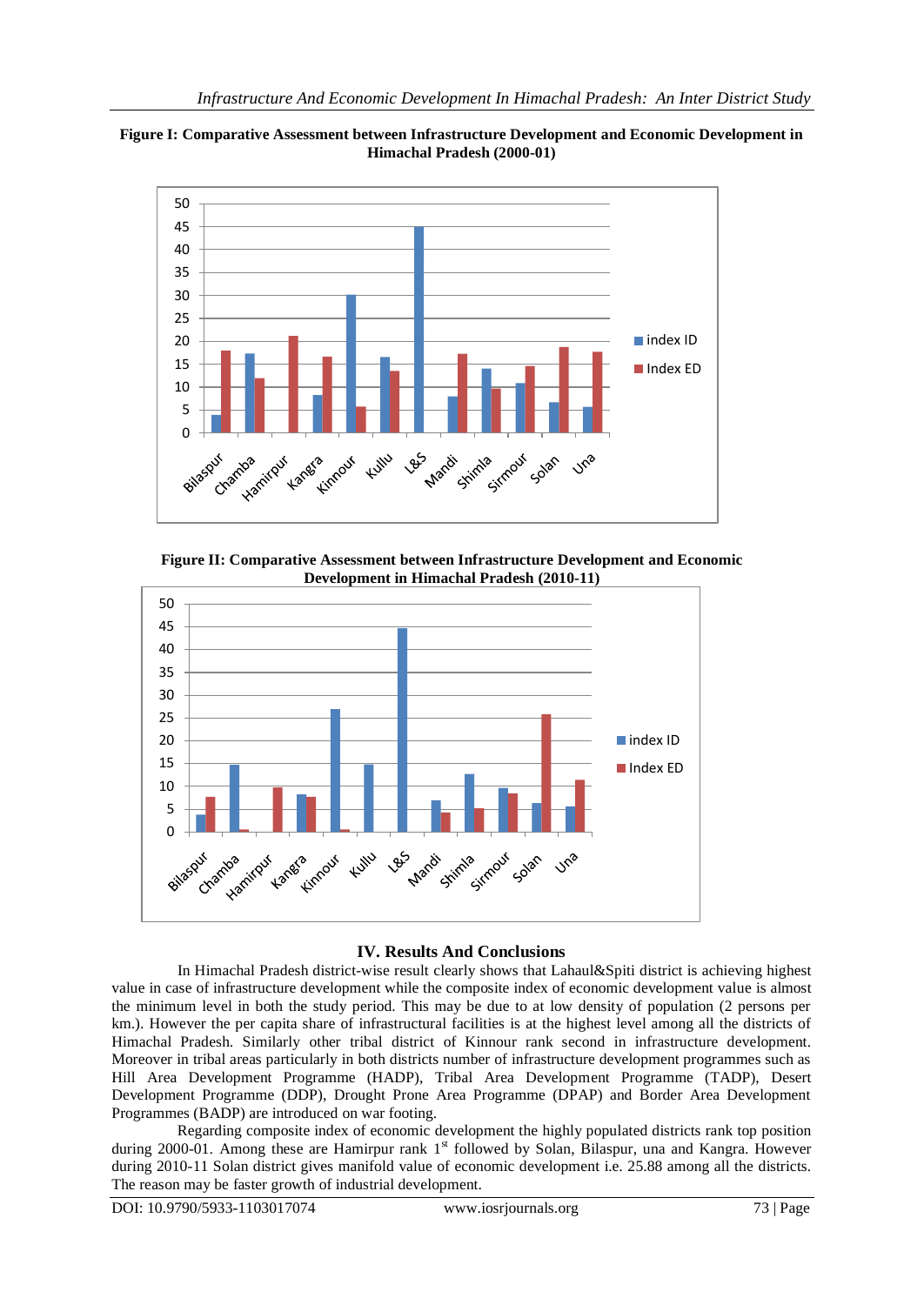



**Figure II: Comparative Assessment between Infrastructure Development and Economic Development in Himachal Pradesh (2010-11)**



#### **IV. Results And Conclusions**

 In Himachal Pradesh district-wise result clearly shows that Lahaul&Spiti district is achieving highest value in case of infrastructure development while the composite index of economic development value is almost the minimum level in both the study period. This may be due to at low density of population (2 persons per km.). However the per capita share of infrastructural facilities is at the highest level among all the districts of Himachal Pradesh. Similarly other tribal district of Kinnour rank second in infrastructure development. Moreover in tribal areas particularly in both districts number of infrastructure development programmes such as Hill Area Development Programme (HADP), Tribal Area Development Programme (TADP), Desert Development Programme (DDP), Drought Prone Area Programme (DPAP) and Border Area Development Programmes (BADP) are introduced on war footing.

 Regarding composite index of economic development the highly populated districts rank top position during 2000-01. Among these are Hamirpur rank 1st followed by Solan, Bilaspur, una and Kangra. However during 2010-11 Solan district gives manifold value of economic development i.e. 25.88 among all the districts. The reason may be faster growth of industrial development.